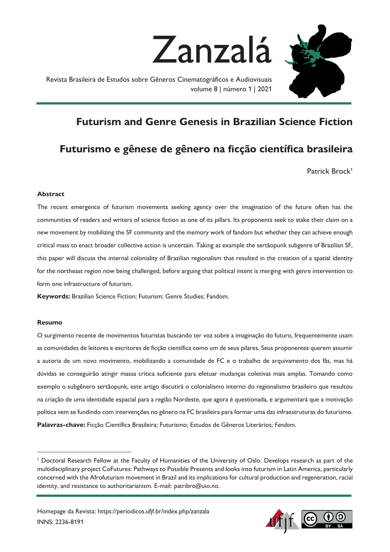

Revista Brasileira de Estudos sobre Gêneros Cinematográficos e Audiovisuais volume 8 | número 1 | 2021



# **Futurism and Genre Genesis in Brazilian Science Fiction**

# **Futurismo e gênese de gênero na ficção científica brasileira**

Patrick Brock<sup>1</sup>

## **Abstract**

The recent emergence of futurism movements seeking agency over the imagination of the future often has the communities of readers and writers of science fiction as one of its pillars. Its proponents seek to stake their claim on a new movement by mobilizing the SF community and the memory work of fandom but whether they can achieve enough critical mass to enact broader collective action is uncertain. Taking as example the sertãopunk subgenre of Brazilian SF, this paper will discuss the internal coloniality of Brazilian regionalism that resulted in the creation of a spatial identity for the northeast region now being challenged, before arguing that political intent is merging with genre intervention to form one infrastructure of futurism.

**Keywords:** Brazilian Science Fiction; Futurism; Genre Studies; Fandom.

#### **Resumo**

O surgimento recente de movimentos futuristas buscando ter voz sobre a imaginação do futuro, frequentemente usam as comunidades de leitores e escritores de ficção científica como um de seus pilares. Seus proponentes querem assumir a autoria de um novo movimento, mobilizando a comunidade de FC e o trabalho de arquivamento dos fãs, mas há dúvidas se conseguirão atingir massa crítica suficiente para efetuar mudanças coletivas mais amplas. Tomando como exemplo o subgênero sertãopunk, este artigo discutirá o colonialismo interno do regionalismo brasileiro que resultou na criação de uma identidade espacial para a região Nordeste, que agora é questionada, e argumentará que a motivação política vem se fundindo com intervenções no gênero na FC brasileira para formar uma das infraestruturas do futurismo. **Palavras-chave:** Ficção Científica Brasileira; Futurismo; Estudos de Gêneros Literários; *Fandom*.



<sup>1</sup> Doctoral Research Fellow at the Faculty of Humanities of the University of Oslo. Develops research as part of the multidisciplinary project CoFutures: Pathways to Possible Presents and looks into futurism in Latin America, particularly concerned with the Afrofuturism movement in Brazil and its implications for cultural production and regeneration, racial identity, and resistance to authoritarianism. E-mail: patribro@uio.no.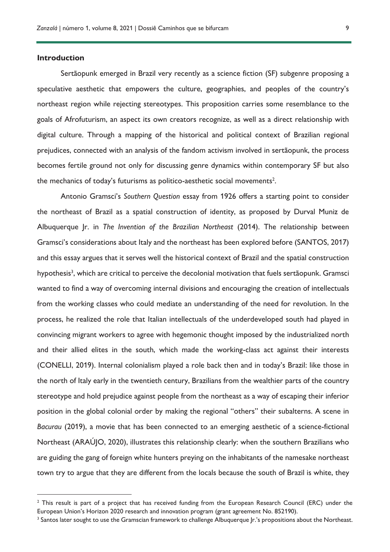#### **Introduction**

Sertãopunk emerged in Brazil very recently as a science fiction (SF) subgenre proposing a speculative aesthetic that empowers the culture, geographies, and peoples of the country's northeast region while rejecting stereotypes. This proposition carries some resemblance to the goals of Afrofuturism, an aspect its own creators recognize, as well as a direct relationship with digital culture. Through a mapping of the historical and political context of Brazilian regional prejudices, connected with an analysis of the fandom activism involved in sertãopunk, the process becomes fertile ground not only for discussing genre dynamics within contemporary SF but also the mechanics of today's futurisms as politico-aesthetic social movements<sup>2</sup>.

Antonio Gramsci's *Southern Question* essay from 1926 offers a starting point to consider the northeast of Brazil as a spatial construction of identity, as proposed by Durval Muniz de Albuquerque Jr. in *The Invention of the Brazilian Northeast* (2014). The relationship between Gramsci's considerations about Italy and the northeast has been explored before (SANTOS, 2017) and this essay argues that it serves well the historical context of Brazil and the spatial construction hypothesis<sup>3</sup>, which are critical to perceive the decolonial motivation that fuels sertãopunk. Gramsci wanted to find a way of overcoming internal divisions and encouraging the creation of intellectuals from the working classes who could mediate an understanding of the need for revolution. In the process, he realized the role that Italian intellectuals of the underdeveloped south had played in convincing migrant workers to agree with hegemonic thought imposed by the industrialized north and their allied elites in the south, which made the working-class act against their interests (CONELLI, 2019). Internal colonialism played a role back then and in today's Brazil: like those in the north of Italy early in the twentieth century, Brazilians from the wealthier parts of the country stereotype and hold prejudice against people from the northeast as a way of escaping their inferior position in the global colonial order by making the regional "others" their subalterns. A scene in *Bacurau* (2019), a movie that has been connected to an emerging aesthetic of a science-fictional Northeast (ARAÚJO, 2020), illustrates this relationship clearly: when the southern Brazilians who are guiding the gang of foreign white hunters preying on the inhabitants of the namesake northeast town try to argue that they are different from the locals because the south of Brazil is white, they

<sup>&</sup>lt;sup>2</sup> This result is part of a project that has received funding from the European Research Council (ERC) under the European Union's Horizon 2020 research and innovation program (grant agreement No. 852190).

<sup>&</sup>lt;sup>3</sup> Santos later sought to use the Gramscian framework to challenge Albuquerque |r.'s propositions about the Northeast.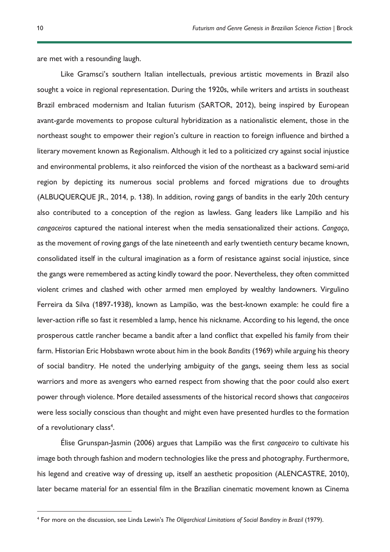are met with a resounding laugh.

Like Gramsci's southern Italian intellectuals, previous artistic movements in Brazil also sought a voice in regional representation. During the 1920s, while writers and artists in southeast Brazil embraced modernism and Italian futurism (SARTOR, 2012), being inspired by European avant-garde movements to propose cultural hybridization as a nationalistic element, those in the northeast sought to empower their region's culture in reaction to foreign influence and birthed a literary movement known as Regionalism. Although it led to a politicized cry against social injustice and environmental problems, it also reinforced the vision of the northeast as a backward semi-arid region by depicting its numerous social problems and forced migrations due to droughts (ALBUQUERQUE JR., 2014, p. 138). In addition, roving gangs of bandits in the early 20th century also contributed to a conception of the region as lawless. Gang leaders like Lampião and his *cangaceiros* captured the national interest when the media sensationalized their actions. *Cangaço*, as the movement of roving gangs of the late nineteenth and early twentieth century became known, consolidated itself in the cultural imagination as a form of resistance against social injustice, since the gangs were remembered as acting kindly toward the poor. Nevertheless, they often committed violent crimes and clashed with other armed men employed by wealthy landowners. Virgulino Ferreira da Silva (1897-1938), known as Lampião, was the best-known example: he could fire a lever-action rifle so fast it resembled a lamp, hence his nickname. According to his legend, the once prosperous cattle rancher became a bandit after a land conflict that expelled his family from their farm. Historian Eric Hobsbawn wrote about him in the book *Bandits* (1969) while arguing his theory of social banditry. He noted the underlying ambiguity of the gangs, seeing them less as social warriors and more as avengers who earned respect from showing that the poor could also exert power through violence. More detailed assessments of the historical record shows that *cangaceiros* were less socially conscious than thought and might even have presented hurdles to the formation of a revolutionary class<sup>4</sup>.

Élise Grunspan-Jasmin (2006) argues that Lampião was the first *cangaceiro* to cultivate his image both through fashion and modern technologies like the press and photography. Furthermore, his legend and creative way of dressing up, itself an aesthetic proposition (ALENCASTRE, 2010), later became material for an essential film in the Brazilian cinematic movement known as Cinema

<sup>4</sup> For more on the discussion, see Linda Lewin's *The Oligarchical Limitations of Social Banditry in Brazil* (1979).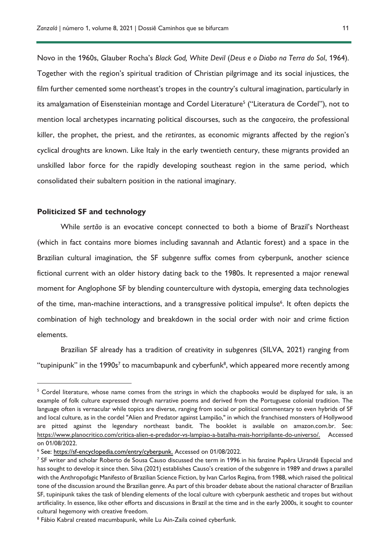Novo in the 1960s, Glauber Rocha's *Black God, White Devil* (*Deus e o Diabo na Terra do Sol*, 1964). Together with the region's spiritual tradition of Christian pilgrimage and its social injustices, the film further cemented some northeast's tropes in the country's cultural imagination, particularly in its amalgamation of Eisensteinian montage and Cordel Literature<sup>5</sup> ("Literatura de Cordel"), not to mention local archetypes incarnating political discourses, such as the *cangaceiro*, the professional killer, the prophet, the priest, and the *retirantes*, as economic migrants affected by the region's cyclical droughts are known. Like Italy in the early twentieth century, these migrants provided an unskilled labor force for the rapidly developing southeast region in the same period, which consolidated their subaltern position in the national imaginary.

#### **Politicized SF and technology**

While *sertão* is an evocative concept connected to both a biome of Brazil's Northeast (which in fact contains more biomes including savannah and Atlantic forest) and a space in the Brazilian cultural imagination, the SF subgenre suffix comes from cyberpunk, another science fictional current with an older history dating back to the 1980s. It represented a major renewal moment for Anglophone SF by blending counterculture with dystopia, emerging data technologies of the time, man-machine interactions, and a transgressive political impulse<sup>6</sup>. It often depicts the combination of high technology and breakdown in the social order with noir and crime fiction elements.

Brazilian SF already has a tradition of creativity in subgenres (SILVA, 2021) ranging from "tupinipunk" in the 1990s<sup>7</sup> to macumbapunk and cyberfunk<sup>8</sup>, which appeared more recently among

<sup>&</sup>lt;sup>5</sup> Cordel literature, whose name comes from the strings in which the chapbooks would be displayed for sale, is an example of folk culture expressed through narrative poems and derived from the Portuguese colonial tradition. The language often is vernacular while topics are diverse, ranging from social or political commentary to even hybrids of SF and local culture, as in the cordel "Alien and Predator against Lampião," in which the franchised monsters of Hollywood are pitted against the legendary northeast bandit. The booklet is available on amazon.com.br. See: https://www.planocritico.com/critica-alien-e-predador-vs-lampiao-a-batalha-mais-horripilante-do-universo/. Accessed on 01/08/2022.

<sup>6</sup> See: [https://sf-encyclopedia.com/entry/cyberpunk.](https://sf-encyclopedia.com/entry/cyberpunk) Accessed on 01/08/2022.

<sup>&</sup>lt;sup>7</sup> SF writer and scholar Roberto de Sousa Causo discussed the term in 1996 in his fanzine Papêra Uirandê Especial and has sought to develop it since then. Silva (2021) establishes Causo's creation of the subgenre in 1989 and draws a parallel with the Anthropofagic Manifesto of Brazilian Science Fiction, by Ivan Carlos Regina, from 1988, which raised the political tone of the discussion around the Brazilian genre. As part of this broader debate about the national character of Brazilian SF, tupinipunk takes the task of blending elements of the local culture with cyberpunk aesthetic and tropes but without artificiality. In essence, like other efforts and discussions in Brazil at the time and in the early 2000s, it sought to counter cultural hegemony with creative freedom.

<sup>&</sup>lt;sup>8</sup> Fábio Kabral created macumbapunk, while Lu Ain-Zaila coined cyberfunk.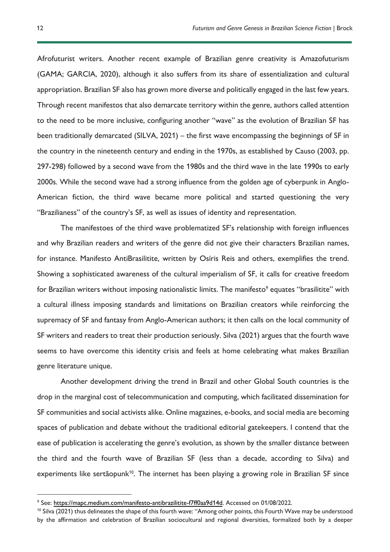Afrofuturist writers. Another recent example of Brazilian genre creativity is Amazofuturism (GAMA; GARCIA, 2020), although it also suffers from its share of essentialization and cultural appropriation. Brazilian SF also has grown more diverse and politically engaged in the last few years. Through recent manifestos that also demarcate territory within the genre, authors called attention to the need to be more inclusive, configuring another "wave" as the evolution of Brazilian SF has been traditionally demarcated (SILVA, 2021) – the first wave encompassing the beginnings of SF in the country in the nineteenth century and ending in the 1970s, as established by Causo (2003, pp. 297-298) followed by a second wave from the 1980s and the third wave in the late 1990s to early 2000s. While the second wave had a strong influence from the golden age of cyberpunk in Anglo-American fiction, the third wave became more political and started questioning the very "Brazilianess" of the country's SF, as well as issues of identity and representation.

The manifestoes of the third wave problematized SF's relationship with foreign influences and why Brazilian readers and writers of the genre did not give their characters Brazilian names, for instance. Manifesto AntiBrasilitite, written by Osíris Reis and others, exemplifies the trend. Showing a sophisticated awareness of the cultural imperialism of SF, it calls for creative freedom for Brazilian writers without imposing nationalistic limits. The manifesto<sup>9</sup> equates "brasilitite" with a cultural illness imposing standards and limitations on Brazilian creators while reinforcing the supremacy of SF and fantasy from Anglo-American authors; it then calls on the local community of SF writers and readers to treat their production seriously. Silva (2021) argues that the fourth wave seems to have overcome this identity crisis and feels at home celebrating what makes Brazilian genre literature unique.

Another development driving the trend in Brazil and other Global South countries is the drop in the marginal cost of telecommunication and computing, which facilitated dissemination for SF communities and social activists alike. Online magazines, e-books, and social media are becoming spaces of publication and debate without the traditional editorial gatekeepers. I contend that the ease of publication is accelerating the genre's evolution, as shown by the smaller distance between the third and the fourth wave of Brazilian SF (less than a decade, according to Silva) and experiments like sertãopunk<sup>10</sup>. The internet has been playing a growing role in Brazilian SF since

<sup>9</sup> See: [https://mapc.medium.com/manifesto-antibrazilitite-f7ff0aa9d14d.](https://mapc.medium.com/manifesto-antibrazilitite-f7ff0aa9d14d) Accessed on 01/08/2022.

<sup>&</sup>lt;sup>10</sup> Silva (2021) thus delineates the shape of this fourth wave: "Among other points, this Fourth Wave may be understood by the affirmation and celebration of Brazilian sociocultural and regional diversities, formalized both by a deeper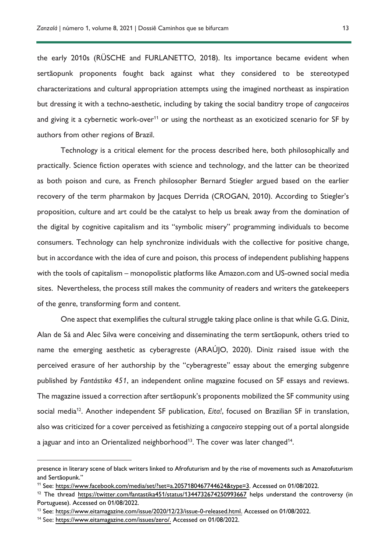the early 2010s (RÜSCHE and FURLANETTO, 2018). Its importance became evident when sertãopunk proponents fought back against what they considered to be stereotyped characterizations and cultural appropriation attempts using the imagined northeast as inspiration but dressing it with a techno-aesthetic, including by taking the social banditry trope of *cangaceiros* and giving it a cybernetic work-over<sup>11</sup> or using the northeast as an exoticized scenario for SF by authors from other regions of Brazil.

Technology is a critical element for the process described here, both philosophically and practically. Science fiction operates with science and technology, and the latter can be theorized as both poison and cure, as French philosopher Bernard Stiegler argued based on the earlier recovery of the term pharmakon by Jacques Derrida (CROGAN, 2010). According to Stiegler's proposition, culture and art could be the catalyst to help us break away from the domination of the digital by cognitive capitalism and its "symbolic misery" programming individuals to become consumers. Technology can help synchronize individuals with the collective for positive change, but in accordance with the idea of cure and poison, this process of independent publishing happens with the tools of capitalism – monopolistic platforms like Amazon.com and US-owned social media sites. Nevertheless, the process still makes the community of readers and writers the gatekeepers of the genre, transforming form and content.

One aspect that exemplifies the cultural struggle taking place online is that while G.G. Diniz, Alan de Sá and Alec Silva were conceiving and disseminating the term sertãopunk, others tried to name the emerging aesthetic as cyberagreste (ARAÚJO, 2020). Diniz raised issue with the perceived erasure of her authorship by the "cyberagreste" essay about the emerging subgenre published by *Fantástika 451*, an independent online magazine focused on SF essays and reviews. The magazine issued a correction after sertãopunk's proponents mobilized the SF community using social media12. Another independent SF publication, *Eita!*, focused on Brazilian SF in translation, also was criticized for a cover perceived as fetishizing a *cangaceiro* stepping out of a portal alongside a jaguar and into an Orientalized neighborhood<sup>13</sup>. The cover was later changed<sup>14</sup>.

presence in literary scene of black writers linked to Afrofuturism and by the rise of movements such as Amazofuturism and Sertãopunk."

<sup>&</sup>lt;sup>11</sup> See: [https://www.facebook.com/media/set/?set=a.2057180467744624&type=3.](https://www.facebook.com/media/set/?set=a.2057180467744624&type=3) Accessed on 01/08/2022.

<sup>12</sup> The thread<https://twitter.com/fantastika451/status/1344732674250993667> helps understand the controversy (in Portuguese). Accessed on 01/08/2022.

<sup>13</sup> See: [https://www.eitamagazine.com/issue/2020/12/23/issue-0-released.html.](https://www.eitamagazine.com/issue/2020/12/23/issue-0-released.html) Accessed on 01/08/2022.

<sup>14</sup> See: [https://www.eitamagazine.com/issues/zero/.](https://www.eitamagazine.com/issues/zero/) Accessed on 01/08/2022.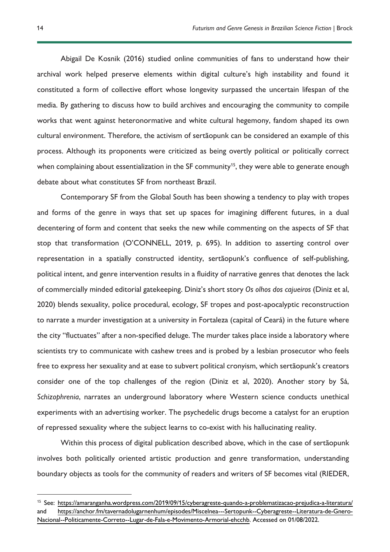Abigail De Kosnik (2016) studied online communities of fans to understand how their archival work helped preserve elements within digital culture's high instability and found it constituted a form of collective effort whose longevity surpassed the uncertain lifespan of the media. By gathering to discuss how to build archives and encouraging the community to compile works that went against heteronormative and white cultural hegemony, fandom shaped its own cultural environment. Therefore, the activism of sertãopunk can be considered an example of this process. Although its proponents were criticized as being overtly political or politically correct when complaining about essentialization in the SF community<sup>15</sup>, they were able to generate enough debate about what constitutes SF from northeast Brazil.

Contemporary SF from the Global South has been showing a tendency to play with tropes and forms of the genre in ways that set up spaces for imagining different futures, in a dual decentering of form and content that seeks the new while commenting on the aspects of SF that stop that transformation (O'CONNELL, 2019, p. 695). In addition to asserting control over representation in a spatially constructed identity, sertãopunk's confluence of self-publishing, political intent, and genre intervention results in a fluidity of narrative genres that denotes the lack of commercially minded editorial gatekeeping. Diniz's short story *Os olhos dos cajueiros* (Diniz et al, 2020) blends sexuality, police procedural, ecology, SF tropes and post-apocalyptic reconstruction to narrate a murder investigation at a university in Fortaleza (capital of Ceará) in the future where the city "fluctuates" after a non-specified deluge. The murder takes place inside a laboratory where scientists try to communicate with cashew trees and is probed by a lesbian prosecutor who feels free to express her sexuality and at ease to subvert political cronyism, which sertãopunk's creators consider one of the top challenges of the region (Diniz et al, 2020). Another story by Sá, *Schizophrenia*, narrates an underground laboratory where Western science conducts unethical experiments with an advertising worker. The psychedelic drugs become a catalyst for an eruption of repressed sexuality where the subject learns to co-exist with his hallucinating reality.

Within this process of digital publication described above, which in the case of sertãopunk involves both politically oriented artistic production and genre transformation, understanding boundary objects as tools for the community of readers and writers of SF becomes vital (RIEDER,

<sup>15</sup> See:<https://amaranganha.wordpress.com/2019/09/15/cyberagreste-quando-a-problematizacao-prejudica-a-literatura/> and [https://anchor.fm/tavernadolugarnenhum/episodes/Miscelnea---Sertopunk--Cyberagreste--Literatura-de-Gnero-](https://anchor.fm/tavernadolugarnenhum/episodes/Miscelnea---Sertopunk--Cyberagreste--Literatura-de-Gnero-Nacional--Politicamente-Correto--Lugar-de-Fala-e-Movimento-Armorial-ehcchb)[Nacional--Politicamente-Correto--Lugar-de-Fala-e-Movimento-Armorial-ehcchb.](https://anchor.fm/tavernadolugarnenhum/episodes/Miscelnea---Sertopunk--Cyberagreste--Literatura-de-Gnero-Nacional--Politicamente-Correto--Lugar-de-Fala-e-Movimento-Armorial-ehcchb) Accessed on 01/08/2022.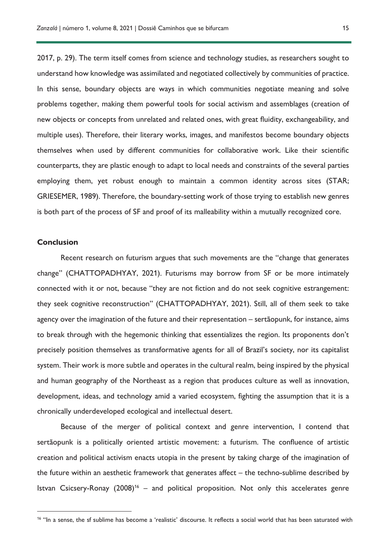2017, p. 29). The term itself comes from science and technology studies, as researchers sought to understand how knowledge was assimilated and negotiated collectively by communities of practice. In this sense, boundary objects are ways in which communities negotiate meaning and solve problems together, making them powerful tools for social activism and assemblages (creation of new objects or concepts from unrelated and related ones, with great fluidity, exchangeability, and multiple uses). Therefore, their literary works, images, and manifestos become boundary objects themselves when used by different communities for collaborative work. Like their scientific

counterparts, they are plastic enough to adapt to local needs and constraints of the several parties employing them, yet robust enough to maintain a common identity across sites (STAR; GRIESEMER, 1989). Therefore, the boundary-setting work of those trying to establish new genres is both part of the process of SF and proof of its malleability within a mutually recognized core.

### **Conclusion**

Recent research on futurism argues that such movements are the "change that generates change" (CHATTOPADHYAY, 2021). Futurisms may borrow from SF or be more intimately connected with it or not, because "they are not fiction and do not seek cognitive estrangement: they seek cognitive reconstruction" (CHATTOPADHYAY, 2021). Still, all of them seek to take agency over the imagination of the future and their representation – sertãopunk, for instance, aims to break through with the hegemonic thinking that essentializes the region. Its proponents don't precisely position themselves as transformative agents for all of Brazil's society, nor its capitalist system. Their work is more subtle and operates in the cultural realm, being inspired by the physical and human geography of the Northeast as a region that produces culture as well as innovation, development, ideas, and technology amid a varied ecosystem, fighting the assumption that it is a chronically underdeveloped ecological and intellectual desert.

Because of the merger of political context and genre intervention, I contend that sertãopunk is a politically oriented artistic movement: a futurism. The confluence of artistic creation and political activism enacts utopia in the present by taking charge of the imagination of the future within an aesthetic framework that generates affect – the techno-sublime described by Istvan Csicsery-Ronay  $(2008)^{16}$  – and political proposition. Not only this accelerates genre

<sup>&</sup>lt;sup>16</sup> "In a sense, the sf sublime has become a 'realistic' discourse. It reflects a social world that has been saturated with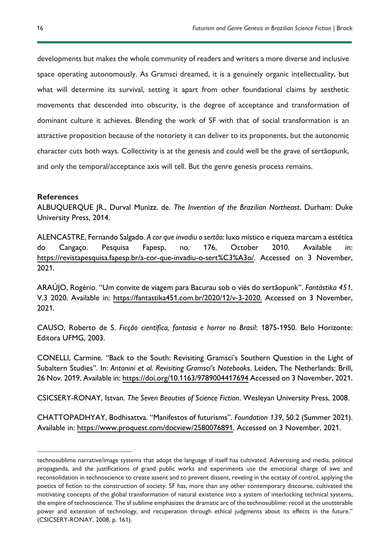developments but makes the whole community of readers and writers a more diverse and inclusive space operating autonomously. As Gramsci dreamed, it is a genuinely organic intellectuality, but what will determine its survival, setting it apart from other foundational claims by aesthetic movements that descended into obscurity, is the degree of acceptance and transformation of dominant culture it achieves. Blending the work of SF with that of social transformation is an attractive proposition because of the notoriety it can deliver to its proponents, but the autonomic character cuts both ways. Collectivity is at the genesis and could well be the grave of sertãopunk, and only the temporal/acceptance axis will tell. But the genre genesis process remains.

## **References**

ALBUQUERQUE JR., Durval Munizz. de. *The Invention of the Brazilian Northeast*. Durham: Duke University Press, 2014.

ALENCASTRE, Fernando Salgado. *A cor que invadiu o sertão:* luxo místico e riqueza marcam a estética do Cangaço. Pesquisa Fapesp, no. 176, October 2010. Available in: [https://revistapesquisa.fapesp.br/a-cor-que-invadiu-o-sert%C3%A3o/.](https://revistapesquisa.fapesp.br/a-cor-que-invadiu-o-sert%C3%A3o/) Accessed on 3 November, 2021.

ARAÚJO, Rogério. "Um convite de viagem para Bacurau sob o viés do sertãopunk". *Fantástika 451*. V.3 2020. Available in: [https://fantastika451.com.br/2020/12/v-3-2020.](https://fantastika451.com.br/2020/12/v-3-2020) Accessed on 3 November, 2021.

CAUSO, Roberto de S. *Ficção científica, fantasia e horror no Brasil*: 1875-1950. Belo Horizonte: Editora UFMG, 2003.

CONELLI, Carmine. "Back to the South: Revisiting Gramsci's Southern Question in the Light of Subaltern Studies". In: *Antonini et al. Revisiting Gramsci's Notebook*s. Leiden, The Netherlands: Brill, 26 Nov. 2019. Available in:<https://doi.org/10.1163/9789004417694> Accessed on 3 November, 2021.

CSICSERY-RONAY, Istvan. *The Seven Beauties of Science Fiction*. Wesleyan University Press, 2008.

CHATTOPADHYAY, Bodhisattva. "Manifestos of futurisms". *Foundation 139*, 50.2 (Summer 2021). Available in: [https://www.proquest.com/docview/2580076891.](https://www.proquest.com/docview/2580076891) Accessed on 3 November, 2021.

technosublime narrative/image systems that adopt the language sf itself has cultivated. Advertising and media, political propaganda, and the justifications of grand public works and experiments use the emotional charge of awe and reconsolidation in technoscience to create assent and to prevent dissent, reveling in the ecstasy of control, applying the poetics of fiction to the construction of society. SF has, more than any other contemporary discourse, cultivated the motivating concepts of the global transformation of natural existence into a system of interlocking technical systems, the empire of technoscience. The sf sublime emphasizes the dramatic arc of the technosublime: recoil at the unutterable power and extension of technology, and recuperation through ethical judgments about its effects in the future." (CSICSERY-RONAY, 2008, p. 161).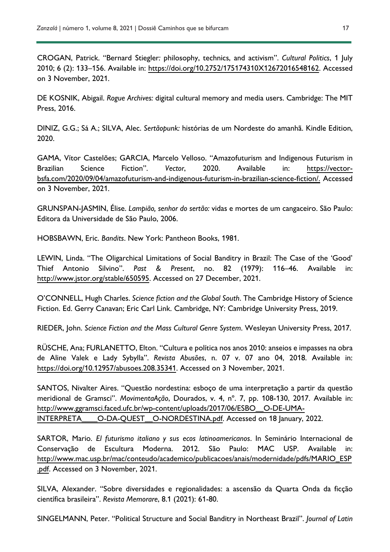CROGAN, Patrick. "Bernard Stiegler*:* philosophy, technics, and activism". *Cultural Politics*, 1 July 2010; 6 (2): 133–156. Available in: [https://doi.org/10.2752/175174310X12672016548162.](https://doi.org/10.2752/175174310X12672016548162) Accessed on 3 November, 2021.

DE KOSNIK, Abigail. *Rogue Archives:* digital cultural memory and media users. Cambridge: The MIT Press, 2016.

DINIZ, G.G.; Sá A.; SILVA, Alec. *Sertãopunk:* histórias de um Nordeste do amanhã. Kindle Edition, 2020.

GAMA, Vítor Castelões; GARCIA, Marcelo Velloso. "Amazofuturism and Indigenous Futurism in Brazilian Science Fiction". *Vector*, 2020. Available in: [https://vector](https://vector-bsfa.com/2020/09/04/amazofuturism-and-indigenous-futurism-in-brazilian-science-fiction/)[bsfa.com/2020/09/04/amazofuturism-and-indigenous-futurism-in-brazilian-science-fiction/.](https://vector-bsfa.com/2020/09/04/amazofuturism-and-indigenous-futurism-in-brazilian-science-fiction/) Accessed on 3 November, 2021.

GRUNSPAN-JASMIN, Élise. *Lampião, senhor do sertão:* vidas e mortes de um cangaceiro. São Paulo: Editora da Universidade de São Paulo, 2006.

HOBSBAWN, Eric. *Bandits*. New York: Pantheon Books, 1981.

LEWIN, Linda. "The Oligarchical Limitations of Social Banditry in Brazil: The Case of the 'Good' Thief Antonio Silvino". *Past & Present*, no. 82 (1979): 116–46. Available in: [http://www.jstor.org/stable/650595.](http://www.jstor.org/stable/650595) Accessed on 27 December, 2021.

O'CONNELL, Hugh Charles. *Science fiction and the Global South*. The Cambridge History of Science Fiction. Ed. Gerry Canavan; Eric Carl Link. Cambridge, NY: Cambridge University Press, 2019.

RIEDER, John. *Science Fiction and the Mass Cultural Genre System*. Wesleyan University Press, 2017.

RÜSCHE, Ana; FURLANETTO, Elton. "Cultura e política nos anos 2010: anseios e impasses na obra de Aline Valek e Lady Sybylla". *Revista Abusões*, n. 07 v. 07 ano 04, 2018. Available in: [https://doi.org/10.12957/abusoes.208.35341.](https://doi.org/10.12957/abusoes.208.35341) Accessed on 3 November, 2021.

SANTOS, Nivalter Aires. "Questão nordestina: esboço de uma interpretação a partir da questão meridional de Gramsci". *MovimentaAção*, Dourados, v. 4, nº. 7, pp. 108-130, 2017. Available in: [http://www.ggramsci.faced.ufc.br/wp-content/uploads/2017/06/ESBO\\_\\_O-DE-UMA-](http://www.ggramsci.faced.ufc.br/wp-content/uploads/2017/06/ESBO__O-DE-UMA-INTERPRETA____O-DA-QUEST__O-NORDESTINA.pdf)[INTERPRETA\\_\\_\\_\\_O-DA-QUEST\\_\\_O-NORDESTINA.pdf.](http://www.ggramsci.faced.ufc.br/wp-content/uploads/2017/06/ESBO__O-DE-UMA-INTERPRETA____O-DA-QUEST__O-NORDESTINA.pdf) Accessed on 18 January, 2022.

SARTOR, Mario. *El futurismo italiano y sus ecos latinoamericanos*. In Seminário Internacional de Conservação de Escultura Moderna. 2012. São Paulo: MAC USP. Available in: [http://www.mac.usp.br/mac/conteudo/academico/publicacoes/anais/modernidade/pdfs/MARIO\\_ESP](http://www.mac.usp.br/mac/conteudo/academico/publicacoes/anais/modernidade/pdfs/MARIO_ESP.pdf) [.pdf.](http://www.mac.usp.br/mac/conteudo/academico/publicacoes/anais/modernidade/pdfs/MARIO_ESP.pdf) Accessed on 3 November, 2021.

SILVA, Alexander. "Sobre diversidades e regionalidades: a ascensão da Quarta Onda da ficção científica brasileira". *Revista Memorare*, 8.1 (2021): 61-80.

SINGELMANN, Peter. "Political Structure and Social Banditry in Northeast Brazil". *Journal of Latin*